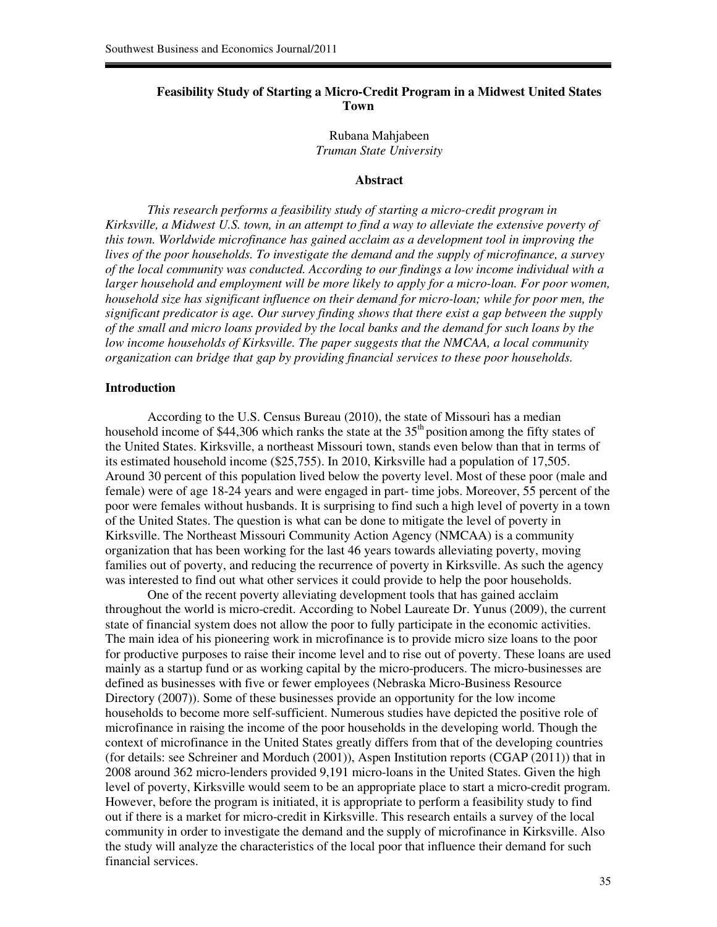## **Feasibility Study of Starting a Micro-Credit Program in a Midwest United States Town**

Rubana Mahjabeen *Truman State University* 

## **Abstract**

*This research performs a feasibility study of starting a micro-credit program in Kirksville, a Midwest U.S. town, in an attempt to find a way to alleviate the extensive poverty of this town. Worldwide microfinance has gained acclaim as a development tool in improving the lives of the poor households. To investigate the demand and the supply of microfinance, a survey of the local community was conducted. According to our findings a low income individual with a larger household and employment will be more likely to apply for a micro-loan. For poor women, household size has significant influence on their demand for micro-loan; while for poor men, the significant predicator is age. Our survey finding shows that there exist a gap between the supply of the small and micro loans provided by the local banks and the demand for such loans by the low income households of Kirksville. The paper suggests that the NMCAA, a local community organization can bridge that gap by providing financial services to these poor households.* 

### **Introduction**

According to the U.S. Census Bureau (2010), the state of Missouri has a median household income of \$44,306 which ranks the state at the  $35<sup>th</sup>$  position among the fifty states of the United States. Kirksville, a northeast Missouri town, stands even below than that in terms of its estimated household income (\$25,755). In 2010, Kirksville had a population of 17,505. Around 30 percent of this population lived below the poverty level. Most of these poor (male and female) were of age 18-24 years and were engaged in part- time jobs. Moreover, 55 percent of the poor were females without husbands. It is surprising to find such a high level of poverty in a town of the United States. The question is what can be done to mitigate the level of poverty in Kirksville. The Northeast Missouri Community Action Agency (NMCAA) is a community organization that has been working for the last 46 years towards alleviating poverty, moving families out of poverty, and reducing the recurrence of poverty in Kirksville. As such the agency was interested to find out what other services it could provide to help the poor households.

One of the recent poverty alleviating development tools that has gained acclaim throughout the world is micro-credit. According to Nobel Laureate Dr. Yunus (2009), the current state of financial system does not allow the poor to fully participate in the economic activities. The main idea of his pioneering work in microfinance is to provide micro size loans to the poor for productive purposes to raise their income level and to rise out of poverty. These loans are used mainly as a startup fund or as working capital by the micro-producers. The micro-businesses are defined as businesses with five or fewer employees (Nebraska Micro-Business Resource Directory (2007)). Some of these businesses provide an opportunity for the low income households to become more self-sufficient. Numerous studies have depicted the positive role of microfinance in raising the income of the poor households in the developing world. Though the context of microfinance in the United States greatly differs from that of the developing countries (for details: see Schreiner and Morduch (2001)), Aspen Institution reports (CGAP (2011)) that in 2008 around 362 micro-lenders provided 9,191 micro-loans in the United States. Given the high level of poverty, Kirksville would seem to be an appropriate place to start a micro-credit program. However, before the program is initiated, it is appropriate to perform a feasibility study to find out if there is a market for micro-credit in Kirksville. This research entails a survey of the local community in order to investigate the demand and the supply of microfinance in Kirksville. Also the study will analyze the characteristics of the local poor that influence their demand for such financial services.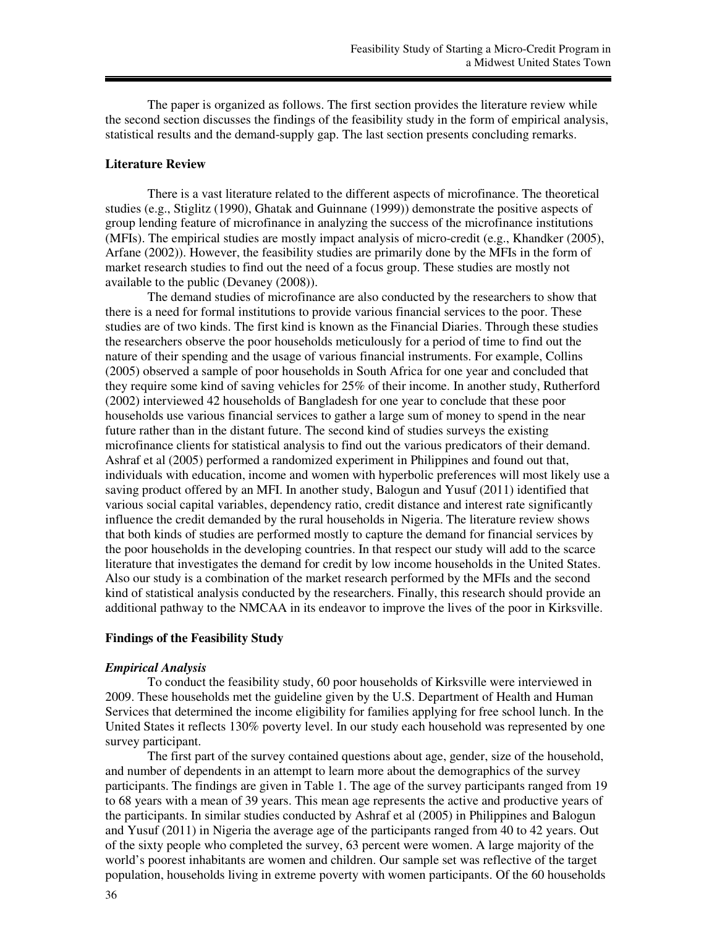The paper is organized as follows. The first section provides the literature review while the second section discusses the findings of the feasibility study in the form of empirical analysis, statistical results and the demand-supply gap. The last section presents concluding remarks.

### **Literature Review**

There is a vast literature related to the different aspects of microfinance. The theoretical studies (e.g., Stiglitz (1990), Ghatak and Guinnane (1999)) demonstrate the positive aspects of group lending feature of microfinance in analyzing the success of the microfinance institutions (MFIs). The empirical studies are mostly impact analysis of micro-credit (e.g., Khandker (2005), Arfane (2002)). However, the feasibility studies are primarily done by the MFIs in the form of market research studies to find out the need of a focus group. These studies are mostly not available to the public (Devaney (2008)).

The demand studies of microfinance are also conducted by the researchers to show that there is a need for formal institutions to provide various financial services to the poor. These studies are of two kinds. The first kind is known as the Financial Diaries. Through these studies the researchers observe the poor households meticulously for a period of time to find out the nature of their spending and the usage of various financial instruments. For example, Collins (2005) observed a sample of poor households in South Africa for one year and concluded that they require some kind of saving vehicles for 25% of their income. In another study, Rutherford (2002) interviewed 42 households of Bangladesh for one year to conclude that these poor households use various financial services to gather a large sum of money to spend in the near future rather than in the distant future. The second kind of studies surveys the existing microfinance clients for statistical analysis to find out the various predicators of their demand. Ashraf et al (2005) performed a randomized experiment in Philippines and found out that, individuals with education, income and women with hyperbolic preferences will most likely use a saving product offered by an MFI. In another study, Balogun and Yusuf (2011) identified that various social capital variables, dependency ratio, credit distance and interest rate significantly influence the credit demanded by the rural households in Nigeria. The literature review shows that both kinds of studies are performed mostly to capture the demand for financial services by the poor households in the developing countries. In that respect our study will add to the scarce literature that investigates the demand for credit by low income households in the United States. Also our study is a combination of the market research performed by the MFIs and the second kind of statistical analysis conducted by the researchers. Finally, this research should provide an additional pathway to the NMCAA in its endeavor to improve the lives of the poor in Kirksville.

## **Findings of the Feasibility Study**

#### *Empirical Analysis*

To conduct the feasibility study, 60 poor households of Kirksville were interviewed in 2009. These households met the guideline given by the U.S. Department of Health and Human Services that determined the income eligibility for families applying for free school lunch. In the United States it reflects 130% poverty level. In our study each household was represented by one survey participant.

The first part of the survey contained questions about age, gender, size of the household, and number of dependents in an attempt to learn more about the demographics of the survey participants. The findings are given in Table 1. The age of the survey participants ranged from 19 to 68 years with a mean of 39 years. This mean age represents the active and productive years of the participants. In similar studies conducted by Ashraf et al (2005) in Philippines and Balogun and Yusuf (2011) in Nigeria the average age of the participants ranged from 40 to 42 years. Out of the sixty people who completed the survey, 63 percent were women. A large majority of the world's poorest inhabitants are women and children. Our sample set was reflective of the target population, households living in extreme poverty with women participants. Of the 60 households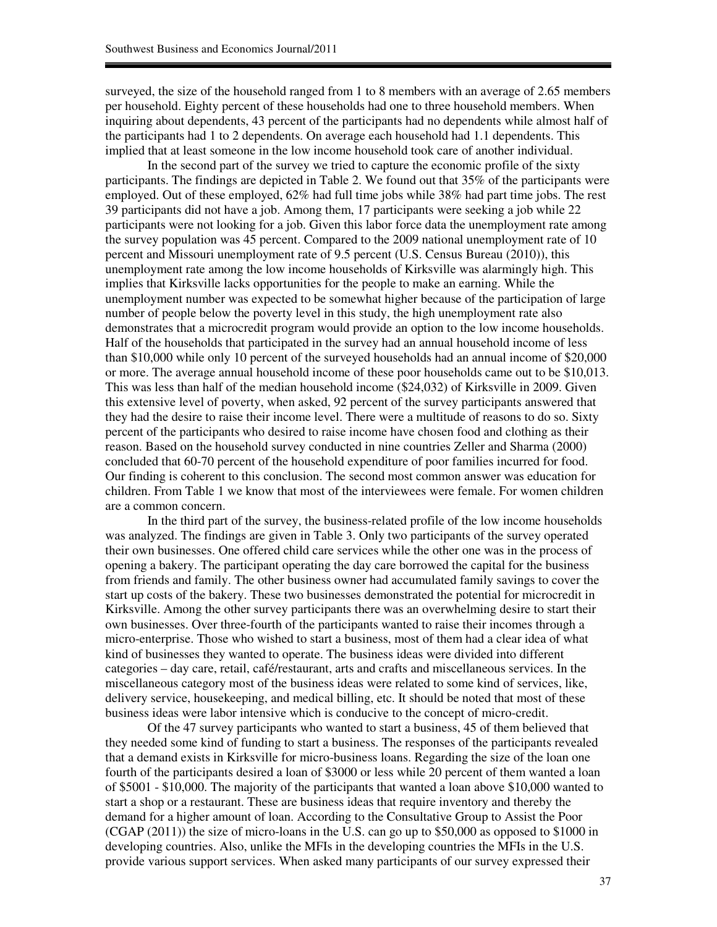surveyed, the size of the household ranged from 1 to 8 members with an average of 2.65 members per household. Eighty percent of these households had one to three household members. When inquiring about dependents, 43 percent of the participants had no dependents while almost half of the participants had 1 to 2 dependents. On average each household had 1.1 dependents. This implied that at least someone in the low income household took care of another individual.

In the second part of the survey we tried to capture the economic profile of the sixty participants. The findings are depicted in Table 2. We found out that 35% of the participants were employed. Out of these employed, 62% had full time jobs while 38% had part time jobs. The rest 39 participants did not have a job. Among them, 17 participants were seeking a job while 22 participants were not looking for a job. Given this labor force data the unemployment rate among the survey population was 45 percent. Compared to the 2009 national unemployment rate of 10 percent and Missouri unemployment rate of 9.5 percent (U.S. Census Bureau (2010)), this unemployment rate among the low income households of Kirksville was alarmingly high. This implies that Kirksville lacks opportunities for the people to make an earning. While the unemployment number was expected to be somewhat higher because of the participation of large number of people below the poverty level in this study, the high unemployment rate also demonstrates that a microcredit program would provide an option to the low income households. Half of the households that participated in the survey had an annual household income of less than \$10,000 while only 10 percent of the surveyed households had an annual income of \$20,000 or more. The average annual household income of these poor households came out to be \$10,013. This was less than half of the median household income (\$24,032) of Kirksville in 2009. Given this extensive level of poverty, when asked, 92 percent of the survey participants answered that they had the desire to raise their income level. There were a multitude of reasons to do so. Sixty percent of the participants who desired to raise income have chosen food and clothing as their reason. Based on the household survey conducted in nine countries Zeller and Sharma (2000) concluded that 60-70 percent of the household expenditure of poor families incurred for food. Our finding is coherent to this conclusion. The second most common answer was education for children. From Table 1 we know that most of the interviewees were female. For women children are a common concern.

In the third part of the survey, the business-related profile of the low income households was analyzed. The findings are given in Table 3. Only two participants of the survey operated their own businesses. One offered child care services while the other one was in the process of opening a bakery. The participant operating the day care borrowed the capital for the business from friends and family. The other business owner had accumulated family savings to cover the start up costs of the bakery. These two businesses demonstrated the potential for microcredit in Kirksville. Among the other survey participants there was an overwhelming desire to start their own businesses. Over three-fourth of the participants wanted to raise their incomes through a micro-enterprise. Those who wished to start a business, most of them had a clear idea of what kind of businesses they wanted to operate. The business ideas were divided into different categories – day care, retail, café/restaurant, arts and crafts and miscellaneous services. In the miscellaneous category most of the business ideas were related to some kind of services, like, delivery service, housekeeping, and medical billing, etc. It should be noted that most of these business ideas were labor intensive which is conducive to the concept of micro-credit.

Of the 47 survey participants who wanted to start a business, 45 of them believed that they needed some kind of funding to start a business. The responses of the participants revealed that a demand exists in Kirksville for micro-business loans. Regarding the size of the loan one fourth of the participants desired a loan of \$3000 or less while 20 percent of them wanted a loan of \$5001 - \$10,000. The majority of the participants that wanted a loan above \$10,000 wanted to start a shop or a restaurant. These are business ideas that require inventory and thereby the demand for a higher amount of loan. According to the Consultative Group to Assist the Poor (CGAP (2011)) the size of micro-loans in the U.S. can go up to \$50,000 as opposed to \$1000 in developing countries. Also, unlike the MFIs in the developing countries the MFIs in the U.S. provide various support services. When asked many participants of our survey expressed their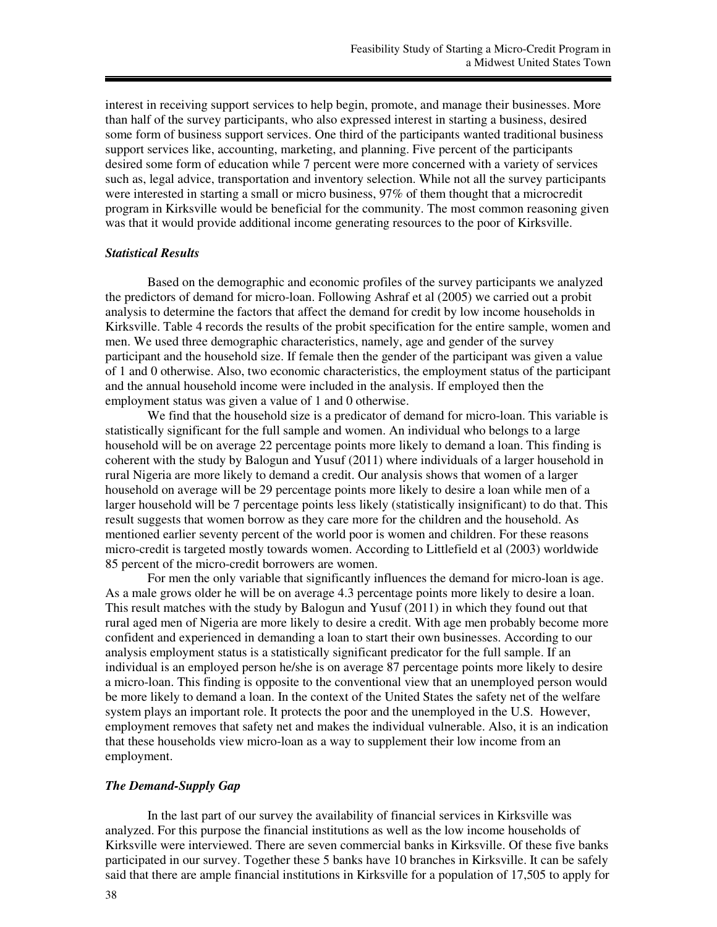interest in receiving support services to help begin, promote, and manage their businesses. More than half of the survey participants, who also expressed interest in starting a business, desired some form of business support services. One third of the participants wanted traditional business support services like, accounting, marketing, and planning. Five percent of the participants desired some form of education while 7 percent were more concerned with a variety of services such as, legal advice, transportation and inventory selection. While not all the survey participants were interested in starting a small or micro business, 97% of them thought that a microcredit program in Kirksville would be beneficial for the community. The most common reasoning given was that it would provide additional income generating resources to the poor of Kirksville.

### *Statistical Results*

Based on the demographic and economic profiles of the survey participants we analyzed the predictors of demand for micro-loan. Following Ashraf et al (2005) we carried out a probit analysis to determine the factors that affect the demand for credit by low income households in Kirksville. Table 4 records the results of the probit specification for the entire sample, women and men. We used three demographic characteristics, namely, age and gender of the survey participant and the household size. If female then the gender of the participant was given a value of 1 and 0 otherwise. Also, two economic characteristics, the employment status of the participant and the annual household income were included in the analysis. If employed then the employment status was given a value of 1 and 0 otherwise.

We find that the household size is a predicator of demand for micro-loan. This variable is statistically significant for the full sample and women. An individual who belongs to a large household will be on average 22 percentage points more likely to demand a loan. This finding is coherent with the study by Balogun and Yusuf (2011) where individuals of a larger household in rural Nigeria are more likely to demand a credit. Our analysis shows that women of a larger household on average will be 29 percentage points more likely to desire a loan while men of a larger household will be 7 percentage points less likely (statistically insignificant) to do that. This result suggests that women borrow as they care more for the children and the household. As mentioned earlier seventy percent of the world poor is women and children. For these reasons micro-credit is targeted mostly towards women. According to Littlefield et al (2003) worldwide 85 percent of the micro-credit borrowers are women.

For men the only variable that significantly influences the demand for micro-loan is age. As a male grows older he will be on average 4.3 percentage points more likely to desire a loan. This result matches with the study by Balogun and Yusuf (2011) in which they found out that rural aged men of Nigeria are more likely to desire a credit. With age men probably become more confident and experienced in demanding a loan to start their own businesses. According to our analysis employment status is a statistically significant predicator for the full sample. If an individual is an employed person he/she is on average 87 percentage points more likely to desire a micro-loan. This finding is opposite to the conventional view that an unemployed person would be more likely to demand a loan. In the context of the United States the safety net of the welfare system plays an important role. It protects the poor and the unemployed in the U.S. However, employment removes that safety net and makes the individual vulnerable. Also, it is an indication that these households view micro-loan as a way to supplement their low income from an employment.

## *The Demand-Supply Gap*

In the last part of our survey the availability of financial services in Kirksville was analyzed. For this purpose the financial institutions as well as the low income households of Kirksville were interviewed. There are seven commercial banks in Kirksville. Of these five banks participated in our survey. Together these 5 banks have 10 branches in Kirksville. It can be safely said that there are ample financial institutions in Kirksville for a population of 17,505 to apply for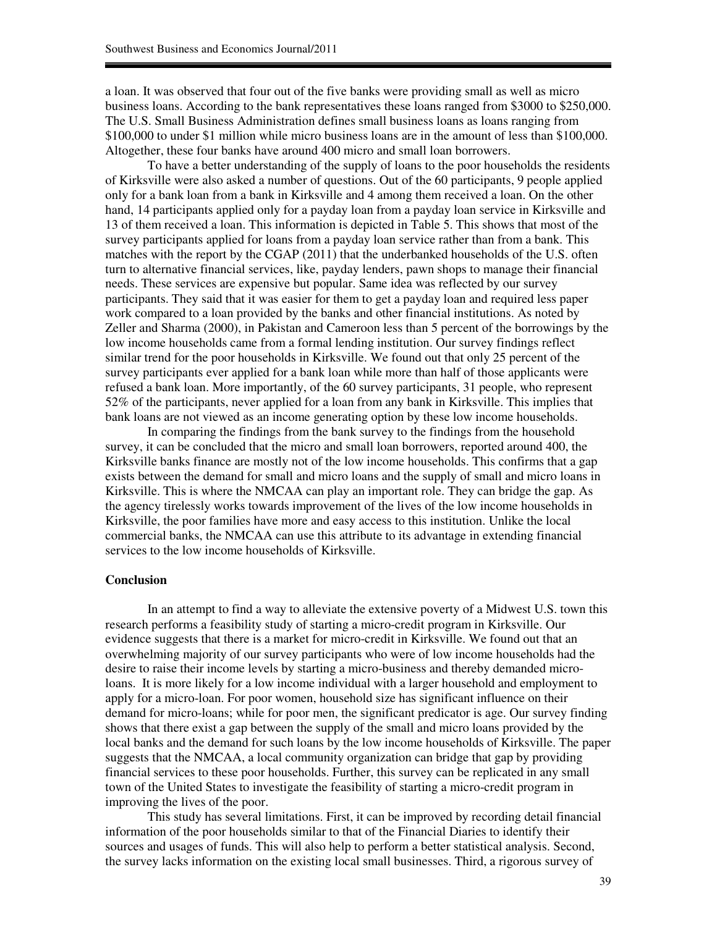a loan. It was observed that four out of the five banks were providing small as well as micro business loans. According to the bank representatives these loans ranged from \$3000 to \$250,000. The U.S. Small Business Administration defines small business loans as loans ranging from \$100,000 to under \$1 million while micro business loans are in the amount of less than \$100,000. Altogether, these four banks have around 400 micro and small loan borrowers.

To have a better understanding of the supply of loans to the poor households the residents of Kirksville were also asked a number of questions. Out of the 60 participants, 9 people applied only for a bank loan from a bank in Kirksville and 4 among them received a loan. On the other hand, 14 participants applied only for a payday loan from a payday loan service in Kirksville and 13 of them received a loan. This information is depicted in Table 5. This shows that most of the survey participants applied for loans from a payday loan service rather than from a bank. This matches with the report by the CGAP (2011) that the underbanked households of the U.S. often turn to alternative financial services, like, payday lenders, pawn shops to manage their financial needs. These services are expensive but popular. Same idea was reflected by our survey participants. They said that it was easier for them to get a payday loan and required less paper work compared to a loan provided by the banks and other financial institutions. As noted by Zeller and Sharma (2000), in Pakistan and Cameroon less than 5 percent of the borrowings by the low income households came from a formal lending institution. Our survey findings reflect similar trend for the poor households in Kirksville. We found out that only 25 percent of the survey participants ever applied for a bank loan while more than half of those applicants were refused a bank loan. More importantly, of the 60 survey participants, 31 people, who represent 52% of the participants, never applied for a loan from any bank in Kirksville. This implies that bank loans are not viewed as an income generating option by these low income households.

In comparing the findings from the bank survey to the findings from the household survey, it can be concluded that the micro and small loan borrowers, reported around 400, the Kirksville banks finance are mostly not of the low income households. This confirms that a gap exists between the demand for small and micro loans and the supply of small and micro loans in Kirksville. This is where the NMCAA can play an important role. They can bridge the gap. As the agency tirelessly works towards improvement of the lives of the low income households in Kirksville, the poor families have more and easy access to this institution. Unlike the local commercial banks, the NMCAA can use this attribute to its advantage in extending financial services to the low income households of Kirksville.

### **Conclusion**

In an attempt to find a way to alleviate the extensive poverty of a Midwest U.S. town this research performs a feasibility study of starting a micro-credit program in Kirksville. Our evidence suggests that there is a market for micro-credit in Kirksville. We found out that an overwhelming majority of our survey participants who were of low income households had the desire to raise their income levels by starting a micro-business and thereby demanded microloans. It is more likely for a low income individual with a larger household and employment to apply for a micro-loan. For poor women, household size has significant influence on their demand for micro-loans; while for poor men, the significant predicator is age. Our survey finding shows that there exist a gap between the supply of the small and micro loans provided by the local banks and the demand for such loans by the low income households of Kirksville. The paper suggests that the NMCAA, a local community organization can bridge that gap by providing financial services to these poor households. Further, this survey can be replicated in any small town of the United States to investigate the feasibility of starting a micro-credit program in improving the lives of the poor.

This study has several limitations. First, it can be improved by recording detail financial information of the poor households similar to that of the Financial Diaries to identify their sources and usages of funds. This will also help to perform a better statistical analysis. Second, the survey lacks information on the existing local small businesses. Third, a rigorous survey of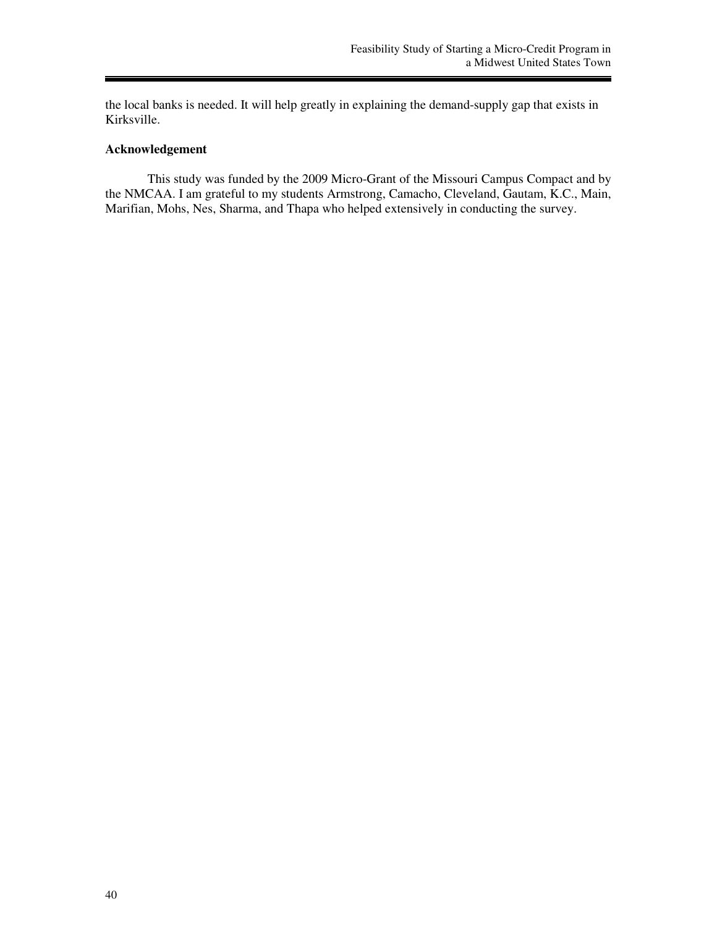the local banks is needed. It will help greatly in explaining the demand-supply gap that exists in Kirksville.

## **Acknowledgement**

This study was funded by the 2009 Micro-Grant of the Missouri Campus Compact and by the NMCAA. I am grateful to my students Armstrong, Camacho, Cleveland, Gautam, K.C., Main, Marifian, Mohs, Nes, Sharma, and Thapa who helped extensively in conducting the survey.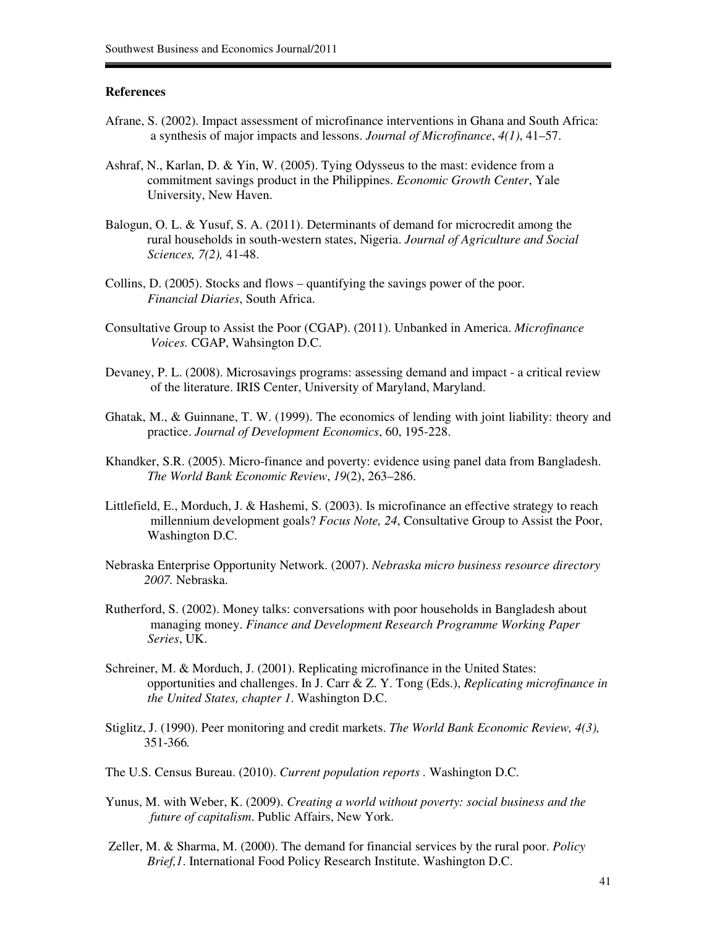## **References**

- Afrane, S. (2002). Impact assessment of microfinance interventions in Ghana and South Africa: a synthesis of major impacts and lessons. *Journal of Microfinance*, *4(1)*, 41–57.
- Ashraf, N., Karlan, D. & Yin, W. (2005). Tying Odysseus to the mast: evidence from a commitment savings product in the Philippines. *Economic Growth Center*, Yale University, New Haven.
- Balogun, O. L. & Yusuf, S. A. (2011). Determinants of demand for microcredit among the rural households in south-western states, Nigeria. *Journal of Agriculture and Social Sciences, 7(2),* 41-48.
- Collins, D. (2005). Stocks and flows quantifying the savings power of the poor. *Financial Diaries*, South Africa.
- Consultative Group to Assist the Poor (CGAP). (2011). Unbanked in America. *Microfinance Voices.* CGAP, Wahsington D.C.
- Devaney, P. L. (2008). Microsavings programs: assessing demand and impact a critical review of the literature. IRIS Center, University of Maryland, Maryland.
- Ghatak, M., & Guinnane, T. W. (1999). The economics of lending with joint liability: theory and practice. *Journal of Development Economics*, 60, 195-228.
- Khandker, S.R. (2005). Micro-finance and poverty: evidence using panel data from Bangladesh. *The World Bank Economic Review*, *19*(2), 263–286.
- Littlefield, E., Morduch, J. & Hashemi, S. (2003). Is microfinance an effective strategy to reach millennium development goals? *Focus Note, 24*, Consultative Group to Assist the Poor, Washington D.C.
- Nebraska Enterprise Opportunity Network. (2007). *Nebraska micro business resource directory 2007.* Nebraska.
- Rutherford, S. (2002). Money talks: conversations with poor households in Bangladesh about managing money. *Finance and Development Research Programme Working Paper Series*, UK.
- Schreiner, M. & Morduch, J. (2001). Replicating microfinance in the United States: opportunities and challenges. In J. Carr & Z. Y. Tong (Eds.), *Replicating microfinance in the United States, chapter 1*. Washington D.C.
- Stiglitz, J. (1990). Peer monitoring and credit markets. *The World Bank Economic Review, 4(3),*  351-366*.*
- The U.S. Census Bureau. (2010). *Current population reports .* Washington D.C.
- Yunus, M. with Weber, K. (2009). *Creating a world without poverty: social business and the future of capitalism*. Public Affairs, New York.
- Zeller, M. & Sharma, M. (2000). The demand for financial services by the rural poor. *Policy Brief,1*. International Food Policy Research Institute. Washington D.C.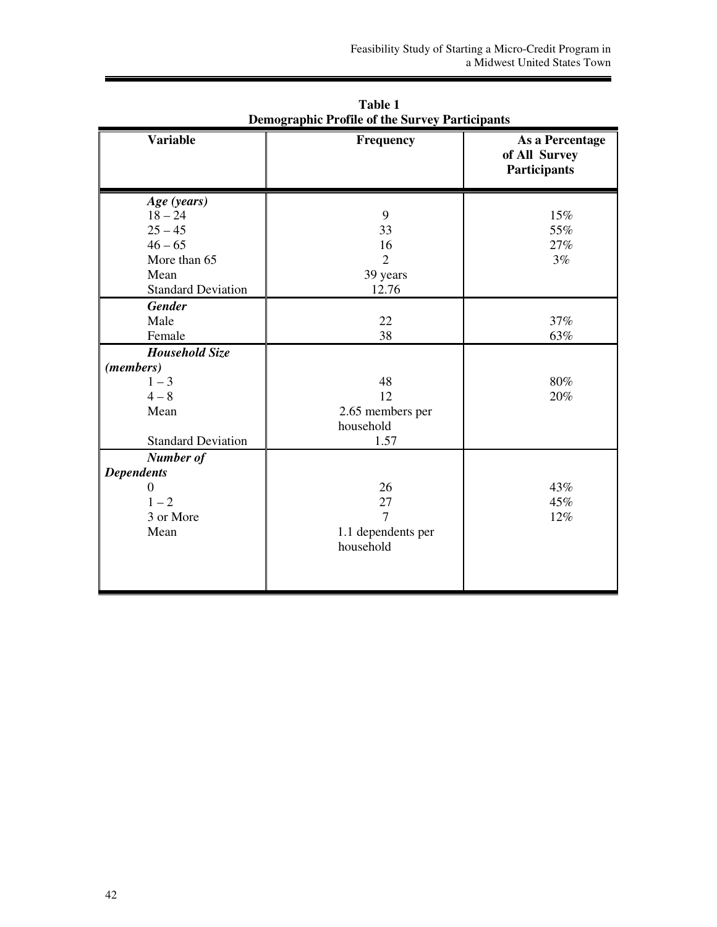| <b>Variable</b>                                                                                         | Frequency                                            | As a Percentage<br>of All Survey<br><b>Participants</b> |
|---------------------------------------------------------------------------------------------------------|------------------------------------------------------|---------------------------------------------------------|
| Age (years)<br>$18 - 24$<br>$25 - 45$<br>$46 - 65$<br>More than 65<br>Mean<br><b>Standard Deviation</b> | 9<br>33<br>16<br>$\overline{2}$<br>39 years<br>12.76 | 15%<br>55%<br>27%<br>3%                                 |
| <b>Gender</b><br>Male<br>Female                                                                         | 22<br>38                                             | 37%<br>63%                                              |
| <b>Household Size</b><br>(members)<br>$1 - 3$<br>$4 - 8$<br>Mean<br><b>Standard Deviation</b>           | 48<br>12<br>2.65 members per<br>household<br>1.57    | 80%<br>20%                                              |
| Number of<br><b>Dependents</b><br>0<br>$1 - 2$<br>3 or More<br>Mean                                     | 26<br>27<br>7<br>1.1 dependents per<br>household     | 43%<br>45%<br>12%                                       |

**Table 1 Demographic Profile of the Survey Participants**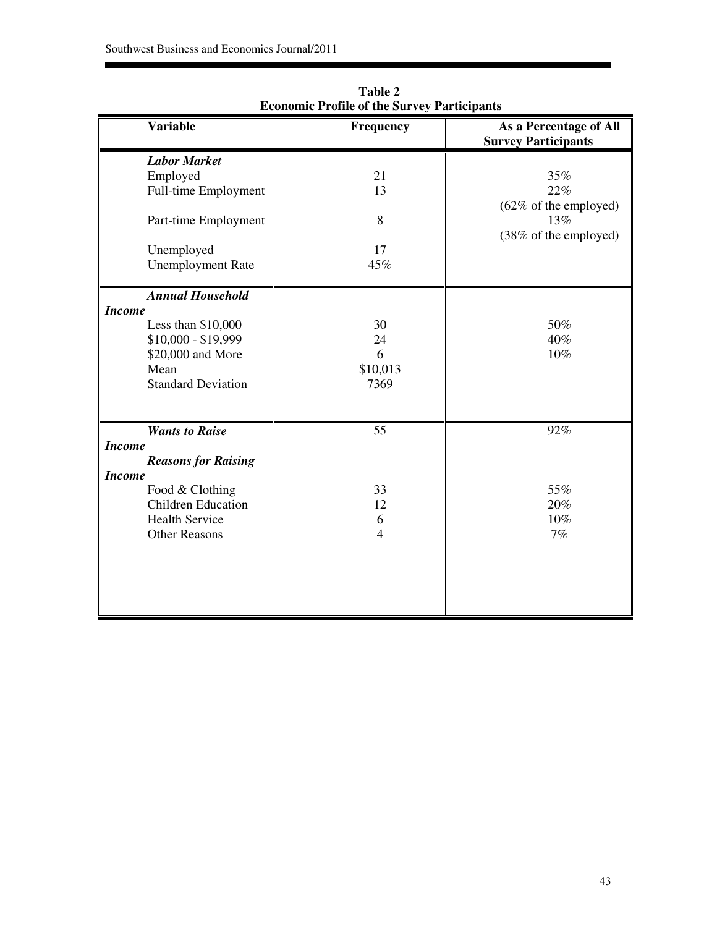| <b>Variable</b>                                                                                                                                                                        | <b>Frequency</b>                  | As a Percentage of All<br><b>Survey Participants</b>                              |
|----------------------------------------------------------------------------------------------------------------------------------------------------------------------------------------|-----------------------------------|-----------------------------------------------------------------------------------|
| <b>Labor Market</b><br>Employed<br>Full-time Employment<br>Part-time Employment<br>Unemployed<br><b>Unemployment Rate</b>                                                              | 21<br>13<br>8<br>17<br>45%        | $35\%$<br>22%<br>$(62\% \text{ of the employed})$<br>13%<br>(38% of the employed) |
| <b>Annual Household</b><br><b>Income</b><br>Less than $$10,000$<br>$$10,000 - $19,999$<br>\$20,000 and More<br>Mean<br><b>Standard Deviation</b>                                       | 30<br>24<br>6<br>\$10,013<br>7369 | 50%<br>40%<br>10%                                                                 |
| <b>Wants to Raise</b><br><b>Income</b><br><b>Reasons for Raising</b><br><b>Income</b><br>Food & Clothing<br><b>Children Education</b><br><b>Health Service</b><br><b>Other Reasons</b> | 55<br>33<br>12<br>6<br>4          | 92%<br>55%<br>20%<br>10%<br>7%                                                    |

**Table 2 Economic Profile of the Survey Participants**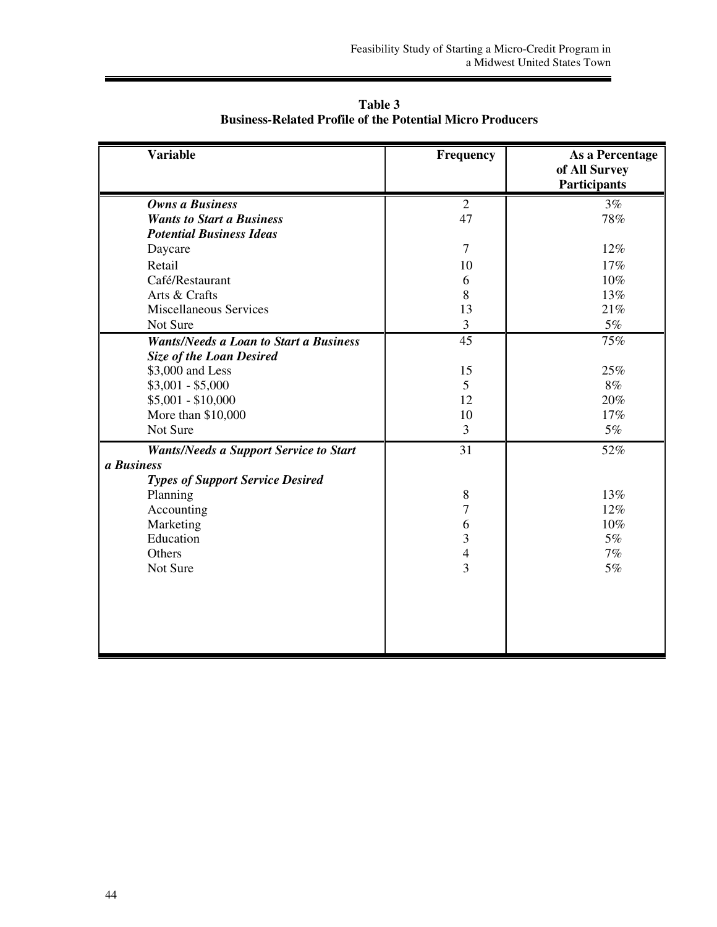| <b>Variable</b>                                                                  | Frequency                | As a Percentage<br>of All Survey<br><b>Participants</b> |
|----------------------------------------------------------------------------------|--------------------------|---------------------------------------------------------|
| <b>Owns a Business</b>                                                           | $\overline{2}$           | 3%                                                      |
| <b>Wants to Start a Business</b>                                                 | 47                       | 78%                                                     |
| <b>Potential Business Ideas</b>                                                  |                          |                                                         |
| Daycare                                                                          | $\overline{7}$           | 12%                                                     |
| Retail                                                                           | 10                       | 17%                                                     |
| Café/Restaurant                                                                  | 6                        | 10%                                                     |
| Arts & Crafts                                                                    | 8                        | 13%                                                     |
| <b>Miscellaneous Services</b>                                                    | 13                       | 21%                                                     |
| Not Sure                                                                         | $\mathfrak{Z}$           | $5\%$                                                   |
| <b>Wants/Needs a Loan to Start a Business</b><br><b>Size of the Loan Desired</b> | 45                       | 75%                                                     |
| \$3,000 and Less                                                                 | 15                       | 25%                                                     |
| $$3,001 - $5,000$                                                                | 5                        | 8%                                                      |
| $$5,001 - $10,000$                                                               | 12                       | 20%                                                     |
| More than \$10,000                                                               | 10                       | 17%                                                     |
| Not Sure                                                                         | 3                        | $5\%$                                                   |
| <b>Wants/Needs a Support Service to Start</b><br>a Business                      | 31                       | 52%                                                     |
| <b>Types of Support Service Desired</b>                                          |                          |                                                         |
| Planning                                                                         | 8                        | 13%                                                     |
| Accounting                                                                       | $\overline{7}$           | 12%                                                     |
| Marketing                                                                        | 6                        | 10%                                                     |
| Education                                                                        | 3                        | $5\%$                                                   |
| Others                                                                           | $\overline{\mathcal{L}}$ | 7%                                                      |
| Not Sure                                                                         | $\overline{3}$           | 5%                                                      |
|                                                                                  |                          |                                                         |
|                                                                                  |                          |                                                         |
|                                                                                  |                          |                                                         |
|                                                                                  |                          |                                                         |
|                                                                                  |                          |                                                         |

**Table 3 Business-Related Profile of the Potential Micro Producers**